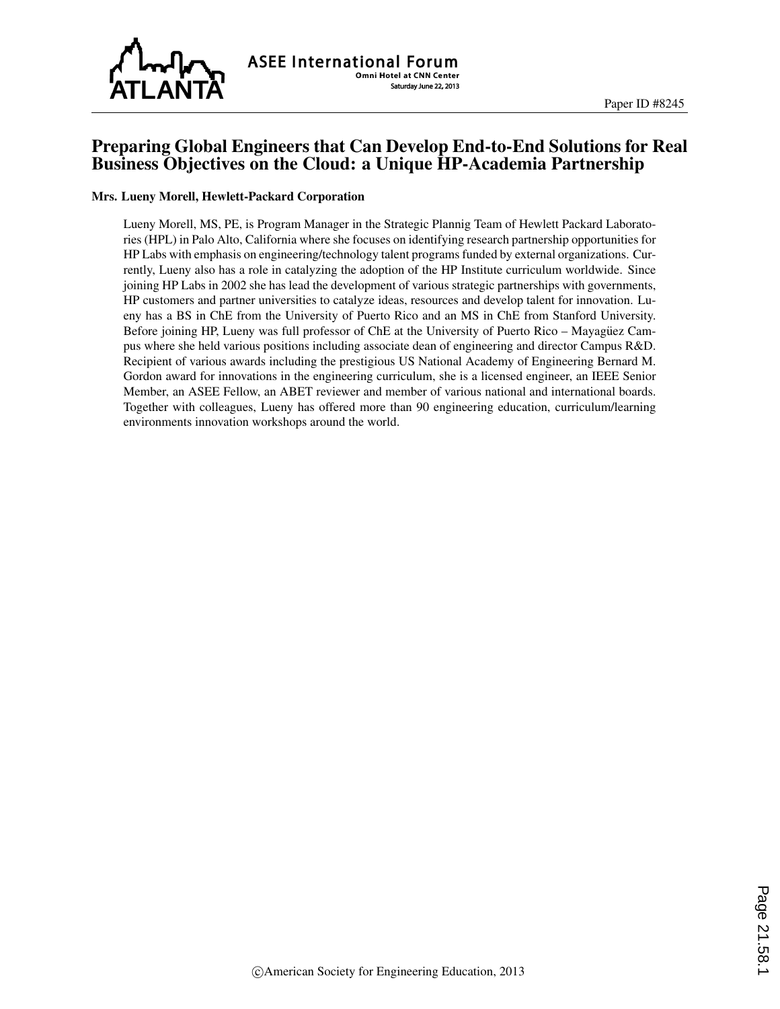

# Preparing Global Engineers that Can Develop End-to-End Solutions for Real Business Objectives on the Cloud: a Unique HP-Academia Partnership

#### Mrs. Lueny Morell, Hewlett-Packard Corporation

Lueny Morell, MS, PE, is Program Manager in the Strategic Plannig Team of Hewlett Packard Laboratories (HPL) in Palo Alto, California where she focuses on identifying research partnership opportunities for HP Labs with emphasis on engineering/technology talent programs funded by external organizations. Currently, Lueny also has a role in catalyzing the adoption of the HP Institute curriculum worldwide. Since joining HP Labs in 2002 she has lead the development of various strategic partnerships with governments, HP customers and partner universities to catalyze ideas, resources and develop talent for innovation. Lueny has a BS in ChE from the University of Puerto Rico and an MS in ChE from Stanford University. Before joining HP, Lueny was full professor of ChE at the University of Puerto Rico – Mayaguez Campus where she held various positions including associate dean of engineering and director Campus R&D. Recipient of various awards including the prestigious US National Academy of Engineering Bernard M. Gordon award for innovations in the engineering curriculum, she is a licensed engineer, an IEEE Senior Member, an ASEE Fellow, an ABET reviewer and member of various national and international boards. Together with colleagues, Lueny has offered more than 90 engineering education, curriculum/learning environments innovation workshops around the world.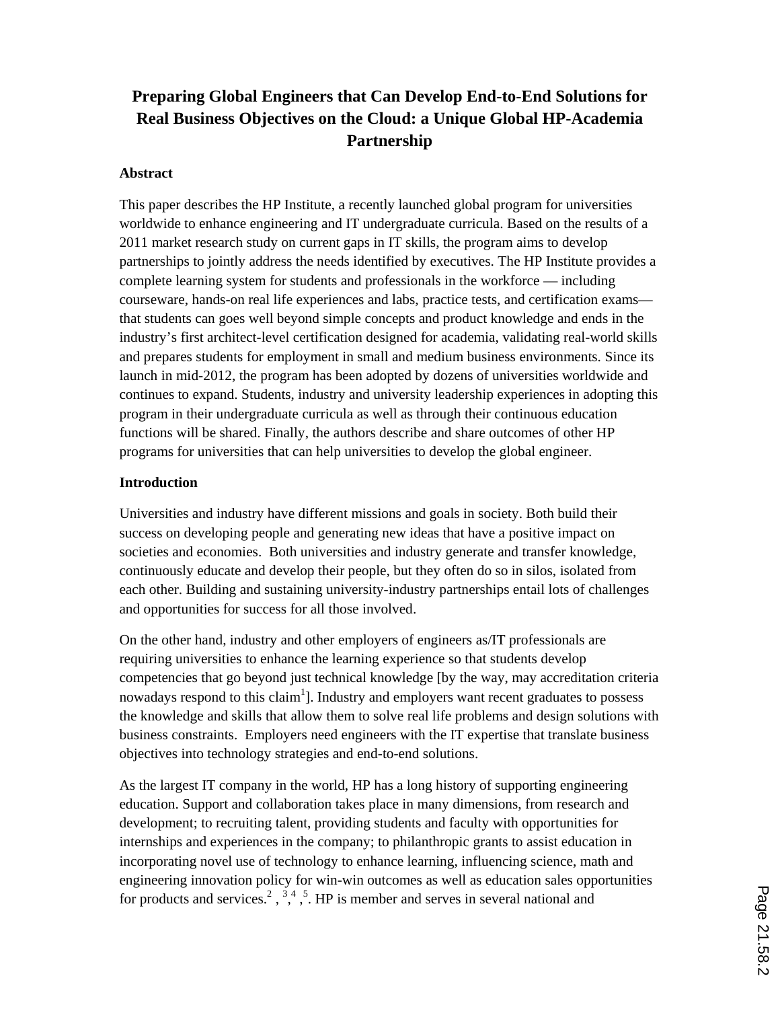# **Preparing Global Engineers that Can Develop End-to-End Solutions for Real Business Objectives on the Cloud: a Unique Global HP-Academia Partnership**

#### **Abstract**

This paper describes the HP Institute, a recently launched global program for universities worldwide to enhance engineering and IT undergraduate curricula. Based on the results of a 2011 market research study on current gaps in IT skills, the program aims to develop partnerships to jointly address the needs identified by executives. The HP Institute provides a complete learning system for students and professionals in the workforce — including courseware, hands-on real life experiences and labs, practice tests, and certification exams that students can goes well beyond simple concepts and product knowledge and ends in the industry's first architect-level certification designed for academia, validating real-world skills and prepares students for employment in small and medium business environments. Since its launch in mid-2012, the program has been adopted by dozens of universities worldwide and continues to expand. Students, industry and university leadership experiences in adopting this program in their undergraduate curricula as well as through their continuous education functions will be shared. Finally, the authors describe and share outcomes of other HP programs for universities that can help universities to develop the global engineer.

#### **Introduction**

Universities and industry have different missions and goals in society. Both build their success on developing people and generating new ideas that have a positive impact on societies and economies. Both universities and industry generate and transfer knowledge, continuously educate and develop their people, but they often do so in silos, isolated from each other. Building and sustaining university-industry partnerships entail lots of challenges and opportunities for success for all those involved.

On the other hand, industry and other employers of engineers as/IT professionals are requiring universities to enhance the learning experience so that students develop competencies that go beyond just technical knowledge [by the way, may accreditation criteria nowadays respond to this claim<sup>1</sup>]. Industry and employers want recent graduates to possess the knowledge and skills that allow them to solve real life problems and design solutions with business constraints. Employers need engineers with the IT expertise that translate business objectives into technology strategies and end-to-end solutions.

As the largest IT company in the world, HP has a long history of supporting engineering education. Support and collaboration takes place in many dimensions, from research and development; to recruiting talent, providing students and faculty with opportunities for internships and experiences in the company; to philanthropic grants to assist education in incorporating novel use of technology to enhance learning, influencing science, math and engineering innovation policy for win-win outcomes as well as education sales opportunities for products and services.<sup>2</sup>,  $\frac{3}{4}$ ,  $\frac{4}{5}$ . HP is member and serves in several national and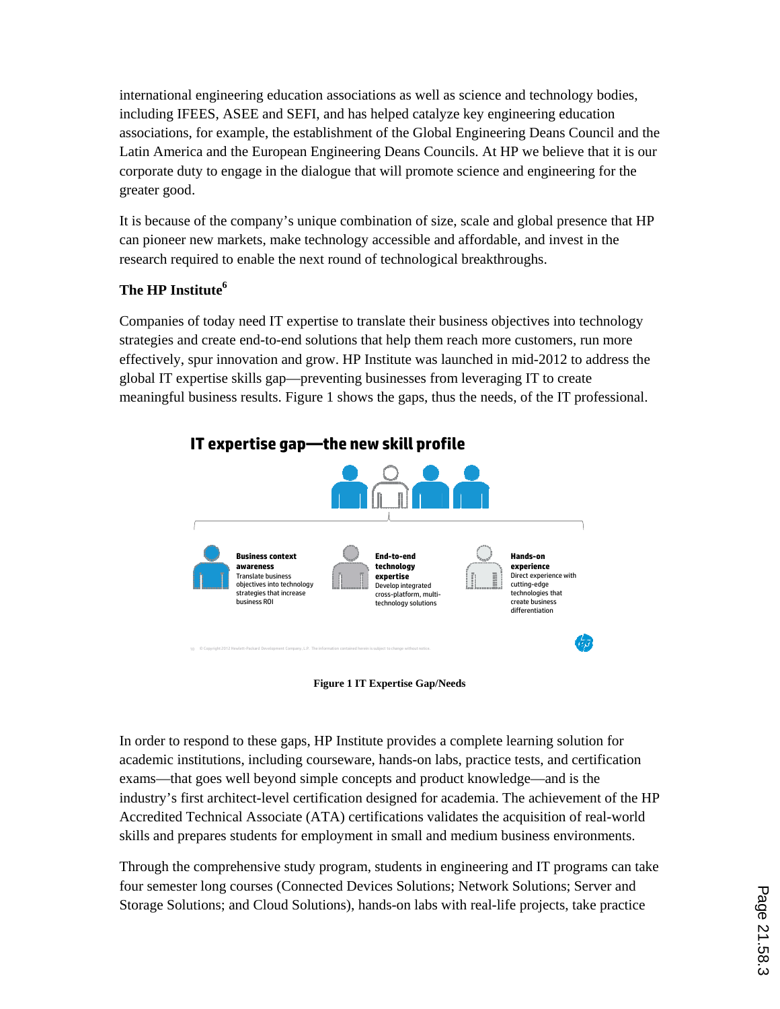international engineering education associations as well as science and technology bodies, including IFEES, ASEE and SEFI, and has helped catalyze key engineering education associations, for example, the establishment of the Global Engineering Deans Council and the Latin America and the European Engineering Deans Councils. At HP we believe that it is our corporate duty to engage in the dialogue that will promote science and engineering for the greater good.

It is because of the company's unique combination of size, scale and global presence that HP can pioneer new markets, make technology accessible and affordable, and invest in the research required to enable the next round of technological breakthroughs.

# **The HP Institute6**

Companies of today need IT expertise to translate their business objectives into technology strategies and create end-to-end solutions that help them reach more customers, run more effectively, spur innovation and grow. HP Institute was launched in mid-2012 to address the global IT expertise skills gap—preventing businesses from leveraging IT to create meaningful business results. Figure 1 shows the gaps, thus the needs, of the IT professional.



**Figure 1 IT Expertise Gap/Needs**

In order to respond to these gaps, HP Institute provides a complete learning solution for academic institutions, including courseware, hands-on labs, practice tests, and certification exams—that goes well beyond simple concepts and product knowledge—and is the industry's first architect-level certification designed for academia. The achievement of the HP Accredited Technical Associate (ATA) certifications validates the acquisition of real-world skills and prepares students for employment in small and medium business environments.

Through the comprehensive study program, students in engineering and IT programs can take four semester long courses (Connected Devices Solutions; Network Solutions; Server and Storage Solutions; and Cloud Solutions), hands-on labs with real-life projects, take practice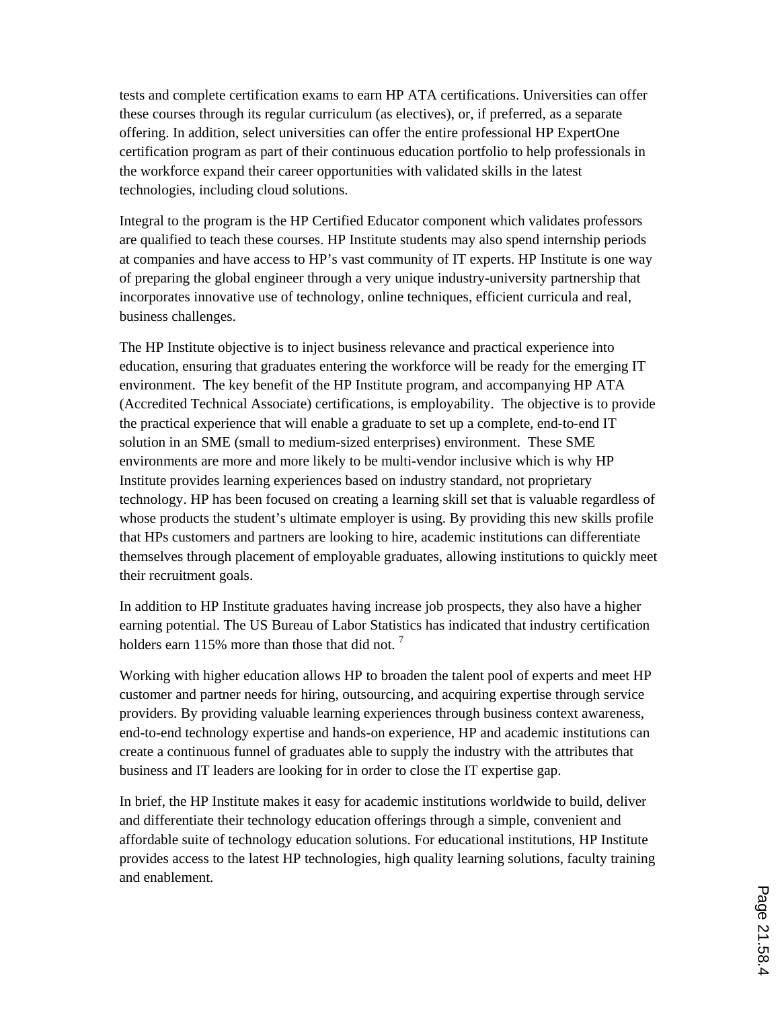tests and complete certification exams to earn HP ATA certifications. Universities can offer these courses through its regular curriculum (as electives), or, if preferred, as a separate offering. In addition, select universities can offer the entire professional HP ExpertOne certification program as part of their continuous education portfolio to help professionals in the workforce expand their career opportunities with validated skills in the latest technologies, including cloud solutions.

Integral to the program is the HP Certified Educator component which validates professors are qualified to teach these courses. HP Institute students may also spend internship periods at companies and have access to HP's vast community of IT experts. HP Institute is one way of preparing the global engineer through a very unique industry-university partnership that incorporates innovative use of technology, online techniques, efficient curricula and real, business challenges.

The HP Institute objective is to inject business relevance and practical experience into education, ensuring that graduates entering the workforce will be ready for the emerging IT environment. The key benefit of the HP Institute program, and accompanying HP ATA (Accredited Technical Associate) certifications, is employability. The objective is to provide the practical experience that will enable a graduate to set up a complete, end-to-end IT solution in an SME (small to medium-sized enterprises) environment. These SME environments are more and more likely to be multi-vendor inclusive which is why HP Institute provides learning experiences based on industry standard, not proprietary technology. HP has been focused on creating a learning skill set that is valuable regardless of whose products the student's ultimate employer is using. By providing this new skills profile that HPs customers and partners are looking to hire, academic institutions can differentiate themselves through placement of employable graduates, allowing institutions to quickly meet their recruitment goals.

In addition to HP Institute graduates having increase job prospects, they also have a higher earning potential. The US Bureau of Labor Statistics has indicated that industry certification holders earn 115% more than those that did not.<sup>7</sup>

Working with higher education allows HP to broaden the talent pool of experts and meet HP customer and partner needs for hiring, outsourcing, and acquiring expertise through service providers. By providing valuable learning experiences through business context awareness, end-to-end technology expertise and hands-on experience, HP and academic institutions can create a continuous funnel of graduates able to supply the industry with the attributes that business and IT leaders are looking for in order to close the IT expertise gap.

In brief, the HP Institute makes it easy for academic institutions worldwide to build, deliver and differentiate their technology education offerings through a simple, convenient and affordable suite of technology education solutions. For educational institutions, HP Institute provides access to the latest HP technologies, high quality learning solutions, faculty training and enablement.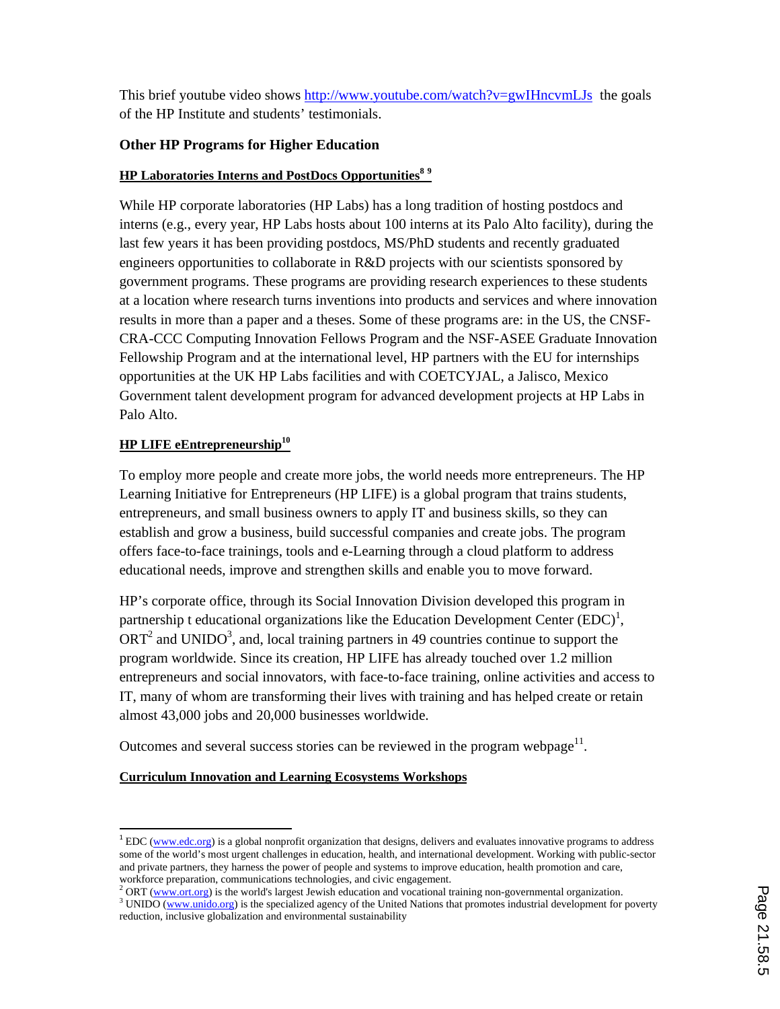This brief youtube video shows http://www.youtube.com/watch?v=gwIHncvmLJs the goals of the HP Institute and students' testimonials.

### **Other HP Programs for Higher Education**

## **HP Laboratories Interns and PostDocs Opportunities<sup>8</sup> <sup>9</sup>**

While HP corporate laboratories (HP Labs) has a long tradition of hosting postdocs and interns (e.g., every year, HP Labs hosts about 100 interns at its Palo Alto facility), during the last few years it has been providing postdocs, MS/PhD students and recently graduated engineers opportunities to collaborate in R&D projects with our scientists sponsored by government programs. These programs are providing research experiences to these students at a location where research turns inventions into products and services and where innovation results in more than a paper and a theses. Some of these programs are: in the US, the CNSF-CRA-CCC Computing Innovation Fellows Program and the NSF-ASEE Graduate Innovation Fellowship Program and at the international level, HP partners with the EU for internships opportunities at the UK HP Labs facilities and with COETCYJAL, a Jalisco, Mexico Government talent development program for advanced development projects at HP Labs in Palo Alto.

## **HP LIFE eEntrepreneurship<sup>10</sup>**

To employ more people and create more jobs, the world needs more entrepreneurs. The HP Learning Initiative for Entrepreneurs (HP LIFE) is a global program that trains students, entrepreneurs, and small business owners to apply IT and business skills, so they can establish and grow a business, build successful companies and create jobs. The program offers face-to-face trainings, tools and e-Learning through a cloud platform to address educational needs, improve and strengthen skills and enable you to move forward.

HP's corporate office, through its Social Innovation Division developed this program in partnership t educational organizations like the Education Development Center  $(EDC)^1$ ,  $ORT<sup>2</sup>$  and UNIDO<sup>3</sup>, and, local training partners in 49 countries continue to support the program worldwide. Since its creation, HP LIFE has already touched over 1.2 million entrepreneurs and social innovators, with face-to-face training, online activities and access to IT, many of whom are transforming their lives with training and has helped create or retain almost 43,000 jobs and 20,000 businesses worldwide.

Outcomes and several success stories can be reviewed in the program webpage $1$ .

### **Curriculum Innovation and Learning Ecosystems Workshops**

 $1^{1}$  EDC (www.edc.org) is a global nonprofit organization that designs, delivers and evaluates innovative programs to address some of the world's most urgent challenges in education, health, and international development. Working with public-sector and private partners, they harness the power of people and systems to improve education, health promotion and care, workforce preparation, communications technologies, and civic engagement.

<sup>&</sup>lt;sup>2</sup> ORT (www.ort.org) is the world's largest Jewish education and vocational training non-governmental organization.

<sup>&</sup>lt;sup>3</sup> UNIDO (www.unido.org) is the specialized agency of the United Nations that promotes industrial development for poverty reduction, inclusive globalization and environmental sustainability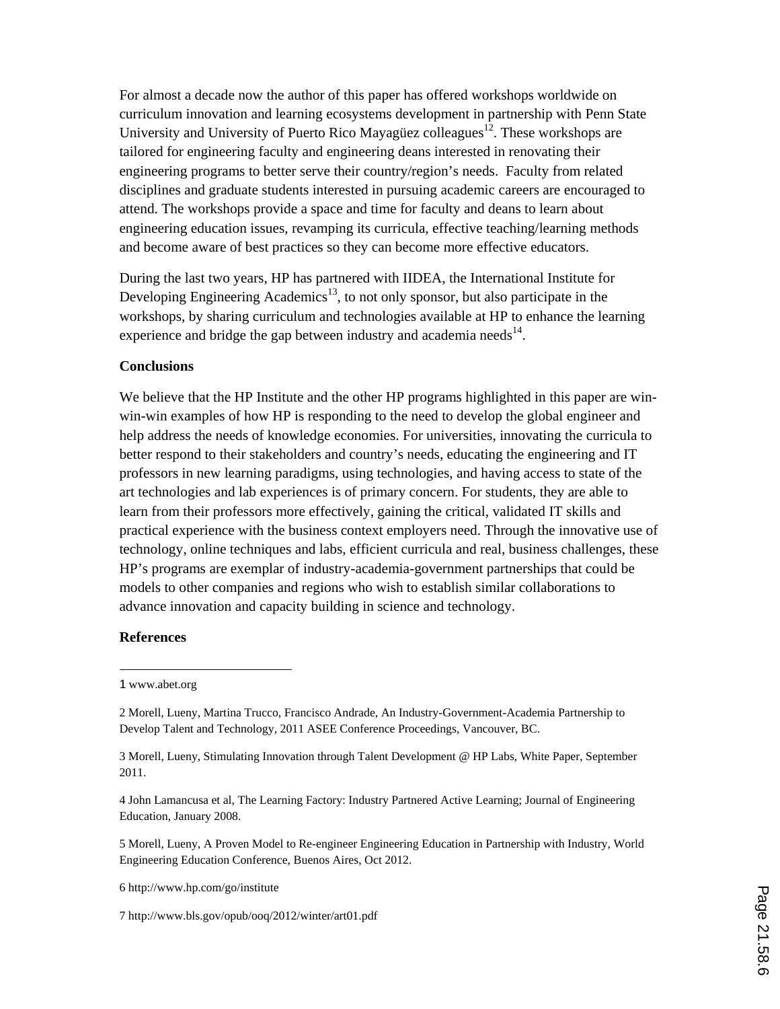For almost a decade now the author of this paper has offered workshops worldwide on curriculum innovation and learning ecosystems development in partnership with Penn State University and University of Puerto Rico Mayagüez colleagues<sup>12</sup>. These workshops are tailored for engineering faculty and engineering deans interested in renovating their engineering programs to better serve their country/region's needs. Faculty from related disciplines and graduate students interested in pursuing academic careers are encouraged to attend. The workshops provide a space and time for faculty and deans to learn about engineering education issues, revamping its curricula, effective teaching/learning methods and become aware of best practices so they can become more effective educators.

During the last two years, HP has partnered with IIDEA, the International Institute for Developing Engineering Academics<sup>13</sup>, to not only sponsor, but also participate in the workshops, by sharing curriculum and technologies available at HP to enhance the learning experience and bridge the gap between industry and academia needs<sup>14</sup>.

#### **Conclusions**

We believe that the HP Institute and the other HP programs highlighted in this paper are winwin-win examples of how HP is responding to the need to develop the global engineer and help address the needs of knowledge economies. For universities, innovating the curricula to better respond to their stakeholders and country's needs, educating the engineering and IT professors in new learning paradigms, using technologies, and having access to state of the art technologies and lab experiences is of primary concern. For students, they are able to learn from their professors more effectively, gaining the critical, validated IT skills and practical experience with the business context employers need. Through the innovative use of technology, online techniques and labs, efficient curricula and real, business challenges, these HP's programs are exemplar of industry-academia-government partnerships that could be models to other companies and regions who wish to establish similar collaborations to advance innovation and capacity building in science and technology.

#### **References**

4 John Lamancusa et al, The Learning Factory: Industry Partnered Active Learning; Journal of Engineering Education, January 2008.

5 Morell, Lueny, A Proven Model to Re-engineer Engineering Education in Partnership with Industry, World Engineering Education Conference, Buenos Aires, Oct 2012.

6 http://www.hp.com/go/institute

7 http://www.bls.gov/opub/ooq/2012/winter/art01.pdf

<sup>1</sup> www.abet.org

<sup>2</sup> Morell, Lueny, Martina Trucco, Francisco Andrade, An Industry-Government-Academia Partnership to Develop Talent and Technology, 2011 ASEE Conference Proceedings, Vancouver, BC.

<sup>3</sup> Morell, Lueny, Stimulating Innovation through Talent Development @ HP Labs, White Paper, September 2011.